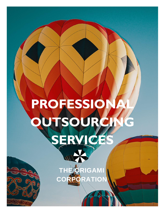# **PROFESSIO OUTSOURCIN SERVICES**

**THE ORIGAMI** 

**CORPORATION**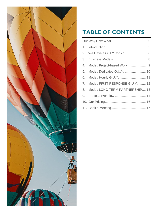

## **TABLE OF CONTENTS**

| 3. |                                     |
|----|-------------------------------------|
| 4. | Model: Project-based Work 9         |
| 5. | Model: Dedicated G.U.Y.  10         |
| 6. | Model: Hourly G.U.Y.  11            |
|    | 7. Model: FIRST RESPONSE G.U.Y.  12 |
|    | 8. Model: LONG TERM PARTNERSHIP 13  |
|    |                                     |
|    |                                     |
|    |                                     |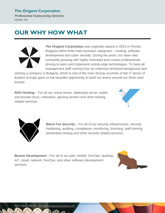*Professional Outsourcing Services Version: 4.8*

## <span id="page-2-0"></span>**OUR WHY HOW WHAT**



**The Origami Corporation** was originally started in 2015 in Plovdiv, Bulgaria within three main business categories – hosting, software development and cyber security. During the years, our team was constantly growing with highly motivated and curious professionals striving to learn and implement cutting edge technologies. To have all management staff coming from an extensive technical background and

starting a company in Bulgaria, which is one of the main driving countries of the IT sector of Eastern Europe gave us the beautiful opportunity to build our teams around our three main brands:

**RSO Hosting** – For all our virtual server, dedicated server, public and private cloud, colocation, gaming servers and other hosting related services.





**Black Fox Security** – For all of our security infrastructure, security hardening, auditing, compliance, monitoring, licensing, staff training, penetration testing and other security related services.

**Beaver Development** – For all of our web, mobile, DevOps, desktop, IoT, cloud, network, DevOps, and other software development services.

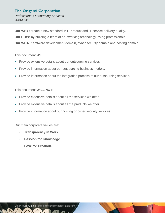*Professional Outsourcing Services Version: 4.8*

**Our WHY:** create a new standard in IT product and IT service delivery quality.

**Our HOW:** by building a team of hardworking technology loving professionals.

**Our WHAT:** software development domain, cyber security domain and hosting domain.

This document **WILL**:

- Provide extensive details about our outsourcing services.
- Provide information about our outsourcing business models.
- Provide information about the integration process of our outsourcing services.

#### This document **WILL NOT**:

- Provide extensive details about all the services we offer.
- Provide extensive details about all the products we offer.
- Provide information about our hosting or cyber security services.

Our main corporate values are:

- **Transparency in Work.**
- **Passion for Knowledge.**
- Love for Creation.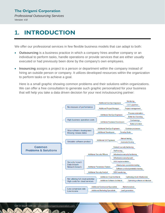*Professional Outsourcing Services Version: 4.8*

## <span id="page-4-0"></span>**1. INTRODUCTION**

We offer our professional services in few flexible business models that can adapt to both:

- **Outsourcing** is a business practice in which a company hires another company or an individual to perform tasks, handle operations or provide services that are either usually executed or had previously been done by the company's own employees.
- **Insourcing** assigns a project to a person or department within the company instead of hiring an outside person or company. It utilizes developed resources within the organization to perform tasks or to achieve a goal.

Here is a small graphic showing common problems and their solutions within organizations. We can offer a free consultation to generate such graphic personalized for your business that will help you take a data driven decision for your next in/outsourcing partner:

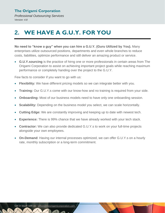*Professional Outsourcing Services Version: 4.8*

## <span id="page-5-0"></span>**2. WE HAVE A G.U.Y. FOR YOU**

**No need to "know a guy" when you can hire a G.U.Y. (Guru Utilized by You).** Many enterprises utilize outsourced positions, departments and even whole branches to reduce costs, liabilities, optimize performance and still deliver an amazing product or service.

• **G.U.Y.sourcing** is the practice of hirng one or more professionals in certain areas from The Origami Corporation to assist on achieving important project goals while reaching maximum performance or completely handing over the project to the G.U.Y.

Few facts to consider if you want to go with us:

- **Flexibility:** We have different pricing models so we can integrate better with you.
- **Training:** Our G.U.Y.s come with our know-how and no training is required from your side.
- **Onboarding:** Most of our business models need to have only one onboarding session.
- **Scalability:** Depending on the business model you select, we can scale horizontally.
- **Cutting Edge:** We are constantly improving and keeping up to date with newest tech.
- **Experience:** There is 99% chance that we have already worked with your tech stack.
- **Contractor:** We can also provide dedicated G.U.Y.s to work on your full-time projects alongside your own employees.
- **On-Demand**: Having our internal processes optimized, we can offer G.U.Y.s on a hourly rate, monthly subscription or a long-term commitment.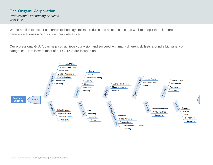*Professional Outsourcing Services Version: 4.8*

We do not like to accent on certain technology stacks, products and solutions. Instead we like to split them in more general categories which you can navigate easier.

Our professional G.U.Y. can help you achieve your vision and succeed with many different skillsets around a big variety of categories. Here is what most of our G.U.Y.s are focused on:

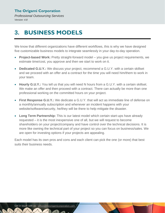*Professional Outsourcing Services Version: 4.8*

## <span id="page-7-0"></span>**3. BUSINESS MODELS**

We know that different organizations have different workflows, this is why we have designed five customizable business models to integrate seamlessly in your day-to-day operation.

- **Project-based Work:** Pretty straight-forward model you give us project requirements, we estimate time/cost, you approve and then we start to work on it.
- **Dedicated G.U.Y.:** We discuss your project, recommend a G.U.Y. with a certain skillset and we proceed with an offer and a contract for the time you will need him/them to work in your team.
- **Hourly G.U.Y.:** You tell us that you will need N hours from a G.U.Y. with a certain skillset. We make an offer and then proceed with a contract. There can actually be more than one professional working on the committed hours on your project.
- **First Response G.U.Y.:** We dedicate a G.U.Y. that will act as immediate line of defense on a monthly/annually subscription and whenever an incident happens with your website/software/security, he/they will be there to help mitigate the disaster.
- **Long Term Partnership:** This is our latest model which certain start-ups have already requested – it is the most inexpensive one of all, but we will request to become shareholders on your project/company and have control over the technical decisions. It is more like owning the technical part of your project so you can focus on business/sales. We are open for investing options if your projects are appealing.

Each model has its own pros and cons and each client can pick the one (or more) that best suits their business needs.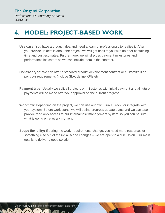*Professional Outsourcing Services Version: 4.8*

## <span id="page-8-0"></span>**4. MODEL: PROJECT-BASED WORK**

- **Use case:** You have a product idea and need a team of professionals to realize it. After you provide us details about the project, we will get back to you with an offer containing time and cost estimates. Furthermore, we will discuss payment milestones and performance indicators so we can include them in the contract.
- **Contract type:** We can offer a standard product development contract or customize it as per your requirements (include SLA, define KPIs etc.).
- **Payment type:** Usually we split all projects on milestones with initial payment and all future payments will be made after your approval on the current progress.
- **Workflow:** Depending on the project, we can use our own (Jira + Slack) or integrate with your system. Before work starts, we will define progress update dates and we can also provide read only access to our internal task management system so you can be sure what is going on at every moment.
- **Scope flexibility:** If during the work, requirements change, you need more resources or something else out of the initial scope changes – we are open to a discussion. Our main goal is to deliver a good solution.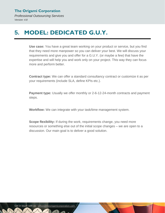*Professional Outsourcing Services Version: 4.8*

## <span id="page-9-0"></span>**5. MODEL: DEDICATED G.U.Y.**

**Use case:** You have a great team working on your product or service, but you find that they need more manpower so you can deliver your best. We will discuss your requirements and give you and offer for a G.U.Y. (or maybe a few) that have the expertise and will help you and work only on your project. This way they can focus more and perform better.

**Contract type:** We can offer a standard consultancy contract or customize it as per your requirements (include SLA, define KPIs etc.).

**Payment type:** Usually we offer monthly or 2-6-12-24-month contracts and payment steps.

**Workflow:** We can integrate with your task/time management system.

**Scope flexibility:** If during the work, requirements change, you need more resources or something else out of the initial scope changes – we are open to a discussion. Our main goal is to deliver a good solution.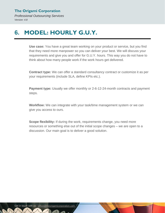*Professional Outsourcing Services Version: 4.8*

## <span id="page-10-0"></span>**6. MODEL: HOURLY G.U.Y.**

**Use case:** You have a great team working on your product or service, but you find that they need more manpower so you can deliver your best. We will discuss your requirements and give you and offer for G.U.Y. hours. This way you do not have to think about how many people work if the work hours get delivered.

**Contract type:** We can offer a standard consultancy contract or customize it as per your requirements (include SLA, define KPIs etc.).

**Payment type:** Usually we offer monthly or 2-6-12-24-month contracts and payment steps.

**Workflow:** We can integrate with your task/time management system or we can give you access to ours.

**Scope flexibility:** If during the work, requirements change, you need more resources or something else out of the initial scope changes – we are open to a discussion. Our main goal is to deliver a good solution.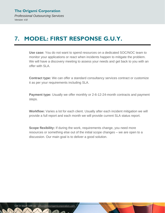## <span id="page-11-0"></span>**7. MODEL: FIRST RESPONSE G.U.Y.**

**Use case:** You do not want to spend resources on a dedicated SOC/NOC team to monitor your applications or react when incidents happen to mitigate the problem. We will have a discovery meeting to assess your needs and get back to you with an offer with SLA.

**Contract type:** We can offer a standard consultancy services contract or customize it as per your requirements including SLA.

**Payment type:** Usually we offer monthly or 2-6-12-24-month contracts and payment steps.

**Workflow:** Varies a lot for each client. Usually after each incident mitigation we will provide a full report and each month we will provide current SLA status report.

**Scope flexibility:** If during the work, requirements change, you need more resources or something else out of the initial scope changes – we are open to a discussion. Our main goal is to deliver a good solution.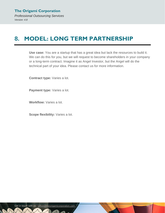## <span id="page-12-0"></span>**8. MODEL: LONG TERM PARTNERSHIP**

**Use case:** You are a startup that has a great idea but lack the resources to build it. We can do this for you, but we will request to become shareholders in your company or a long-term contract. Imagine it as Angel Investor, but the Angel will do the technical part of your idea. Please contact us for more information.

**Contract type:** Varies a lot.

**Payment type:** Varies a lot.

**Workflow:** Varies a lot.

**Scope flexibility:** Varies a lot.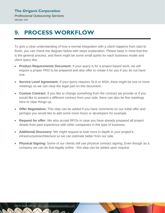*Professional Outsourcing Services Version: 4.8*

## <span id="page-13-0"></span>**9. PROCESS WORKFLOW**

To give a clear understanding of how a normal integration with a client happens from start to finish, you can check the diagram below with steps explanation. Please keep in mind that this is the general process, and there might be some small quirks for each business model and client query like:

- **Product Requirements Document:** If your query is for a project-based work, we will require a proper PRD to be prepared and also offer to create it for you if you do not have one.
- **Service Level Agreement:** If your query requires SLA or MSA, there might be one or more meetings so we can clear the legal part on this document.
- **Custom Contract:** If you like to change something from the contract we provide or if you would like to present a different contract from your side, there can also be few meetings here to clear things up.
- **Offer Negotiation:** This step can be added if you have comments on our initial offer and perhaps you would like to add some more hours or developers for example.
- **Request for offer:** We also accept RFOs in case you have already prepared all project details from past experience with other companies in this type of business.
- **Additional Discovery:** We might request to look more in-depth in your project's infrastructure/architecture so we can estimate better from our side.
- **Physical Signing:** Some of our clients still use physical contract signing. Even though as a company we can do that legally online - this step can be added upon request.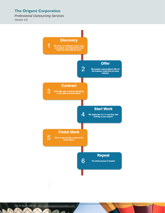*Professional Outsourcing Services*

*Version: 4.8*



1

 $\sqrt{2}$ 

 $\mathcal{L}$ 

**NA**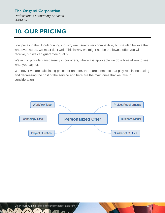*Professional Outsourcing Services Version: 4.7*

## <span id="page-15-0"></span>**10. OUR PRICING**

Low prices in the IT outsourcing industry are usually very competitive, but we also believe that whatever we do, we must do it well. This is why we might not be the lowest offer you will receive, but we can guarantee quality.

We aim to provide transparency in our offers, where it is applicable we do a breakdown to see what you pay for.

Whenever we are calculating prices for an offer, there are elements that play role in increasing and decreasing the cost of the service and here are the main ones that we take in consideration:



 $\lambda$